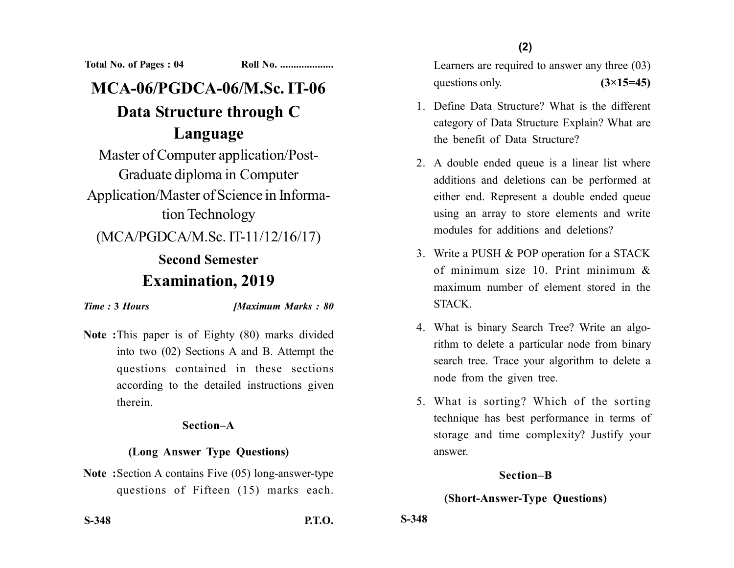**Total No. of Pages : 04 Roll No. ...................** 

# **MCA-06/PGDCA-06/M.Sc. IT-06 Data Structure through C Language**

Master of Computer application/Post-Graduate diploma in Computer Application/Master of Science in Information Technology

(MCA/PGDCA/M.Sc. IT-11/12/16/17)

## **Second Semester Examination, 2019**

*Time :* **3** *Hours [Maximum Marks : 80*

**Note :**This paper is of Eighty (80) marks divided into two (02) Sections A and B. Attempt the questions contained in these sections according to the detailed instructions given therein.

#### **Section–A**

#### **(Long Answer Type Questions)**

**Note :**Section A contains Five (05) long-answer-type questions of Fifteen (15) marks each. **(2)**

Learners are required to answer any three (03) questions only.  $(3\times15=45)$ 

- 1. Define Data Structure? What is the different category of Data Structure Explain? What are the benefit of Data Structure?
- 2. A double ended queue is a linear list where additions and deletions can be performed at either end. Represent a double ended queue using an array to store elements and write modules for additions and deletions?
- 3. Write a PUSH & POP operation for a STACK of minimum size 10. Print minimum & maximum number of element stored in the STACK.
- 4. What is binary Search Tree? Write an algorithm to delete a particular node from binary search tree. Trace your algorithm to delete a node from the given tree.
- 5. What is sorting? Which of the sorting technique has best performance in terms of storage and time complexity? Justify your answer.

#### **Section–B**

### **(Short-Answer-Type Questions)**

**S-348 P.T.O.**

**S-348**